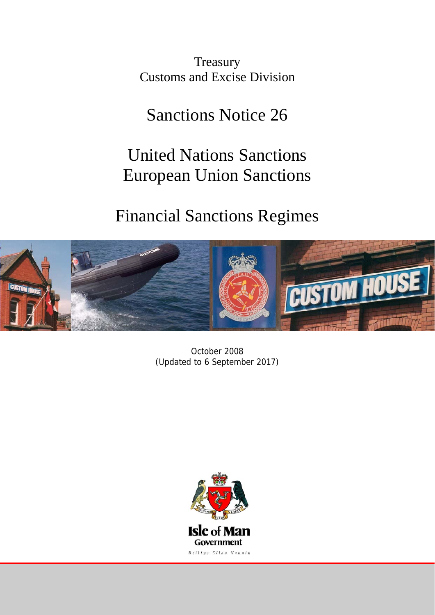**Treasury** Customs and Excise Division

Sanctions Notice 26

# United Nations Sanctions European Union Sanctions

# Financial Sanctions Regimes



October 2008 (Updated to 6 September 2017)

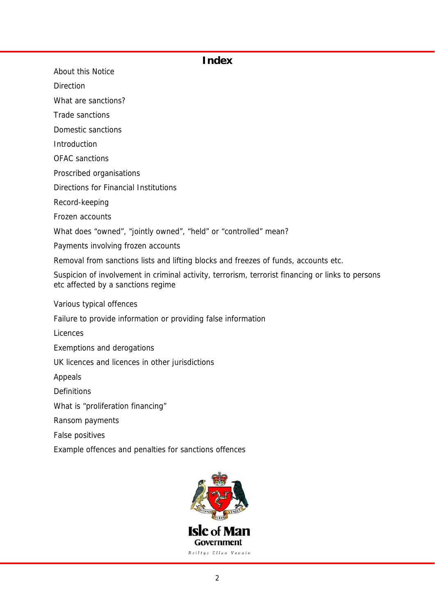## **Index**

About this Notice

Direction

What are sanctions?

Trade sanctions

Domestic sanctions

Introduction

OFAC sanctions

Proscribed organisations

Directions for Financial Institutions

Record-keeping

Frozen accounts

What does "owned", "jointly owned", "held" or "controlled" mean?

Payments involving frozen accounts

Removal from sanctions lists and lifting blocks and freezes of funds, accounts etc.

Suspicion of involvement in criminal activity, terrorism, terrorist financing or links to persons etc affected by a sanctions regime

Various typical offences

Failure to provide information or providing false information

Licences

Exemptions and derogations

UK licences and licences in other jurisdictions

Appeals

**Definitions** 

What is "proliferation financing"

Ransom payments

False positives

Example offences and penalties for sanctions offences

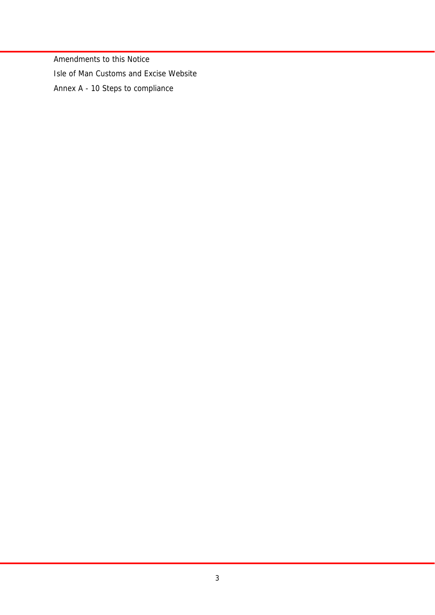Amendments to this Notice Isle of Man Customs and Excise Website Annex A - 10 Steps to compliance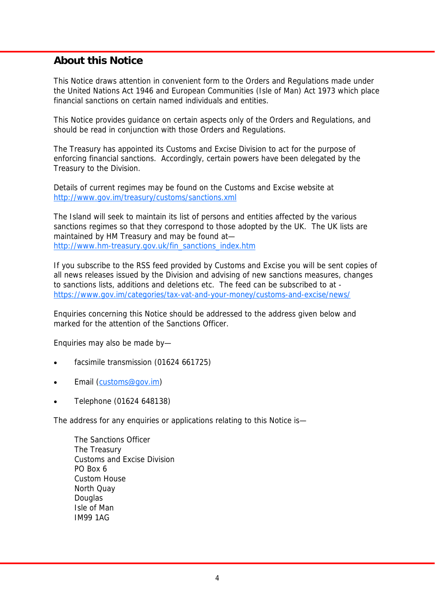# **About this Notice**

This Notice draws attention in convenient form to the Orders and Regulations made under the United Nations Act 1946 and European Communities (Isle of Man) Act 1973 which place financial sanctions on certain named individuals and entities.

This Notice provides guidance on certain aspects only of the Orders and Regulations, and should be read in conjunction with those Orders and Regulations.

The Treasury has appointed its Customs and Excise Division to act for the purpose of enforcing financial sanctions. Accordingly, certain powers have been delegated by the Treasury to the Division.

Details of current regimes may be found on the Customs and Excise website at http://www.gov.im/treasury/customs/sanctions.xml

The Island will seek to maintain its list of persons and entities affected by the various sanctions regimes so that they correspond to those adopted by the UK. The UK lists are maintained by HM Treasury and may be found at http://www.hm-treasury.gov.uk/fin\_sanctions\_index.htm

If you subscribe to the RSS feed provided by Customs and Excise you will be sent copies of all news releases issued by the Division and advising of new sanctions measures, changes to sanctions lists, additions and deletions etc. The feed can be subscribed to at https://www.gov.im/categories/tax-vat-and-your-money/customs-and-excise/news/

Enquiries concerning this Notice should be addressed to the address given below and marked for the attention of the Sanctions Officer.

Enquiries may also be made by—

- facsimile transmission (01624 661725)
- Email (customs@gov.im)
- Telephone (01624 648138)

The address for any enquiries or applications relating to this Notice is—

 The Sanctions Officer The Treasury Customs and Excise Division PO Box 6 Custom House North Quay Douglas Isle of Man IM99 1AG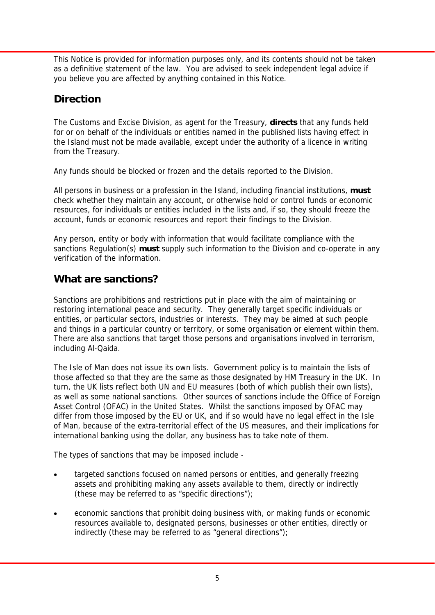This Notice is provided for information purposes only, and its contents should not be taken as a definitive statement of the law. You are advised to seek independent legal advice if you believe you are affected by anything contained in this Notice.

# **Direction**

The Customs and Excise Division, as agent for the Treasury, **directs** that any funds held for or on behalf of the individuals or entities named in the published lists having effect in the Island must not be made available, except under the authority of a licence in writing from the Treasury.

Any funds should be blocked or frozen and the details reported to the Division.

All persons in business or a profession in the Island, including financial institutions, **must**  check whether they maintain any account, or otherwise hold or control funds or economic resources, for individuals or entities included in the lists and, if so, they should freeze the account, funds or economic resources and report their findings to the Division.

Any person, entity or body with information that would facilitate compliance with the sanctions Regulation(s) **must** supply such information to the Division and co-operate in any verification of the information.

# **What are sanctions?**

Sanctions are prohibitions and restrictions put in place with the aim of maintaining or restoring international peace and security. They generally target specific individuals or entities, or particular sectors, industries or interests. They may be aimed at such people and things in a particular country or territory, or some organisation or element within them. There are also sanctions that target those persons and organisations involved in terrorism, including Al-Qaida.

The Isle of Man does not issue its own lists. Government policy is to maintain the lists of those affected so that they are the same as those designated by HM Treasury in the UK. In turn, the UK lists reflect both UN and EU measures (both of which publish their own lists), as well as some national sanctions. Other sources of sanctions include the Office of Foreign Asset Control (OFAC) in the United States. Whilst the sanctions imposed by OFAC may differ from those imposed by the EU or UK, and if so would have no legal effect in the Isle of Man, because of the extra-territorial effect of the US measures, and their implications for international banking using the dollar, any business has to take note of them.

The types of sanctions that may be imposed include -

- targeted sanctions focused on named persons or entities, and generally freezing assets and prohibiting making any assets available to them, directly or indirectly (these may be referred to as "specific directions");
- economic sanctions that prohibit doing business with, or making funds or economic resources available to, designated persons, businesses or other entities, directly or indirectly (these may be referred to as "general directions");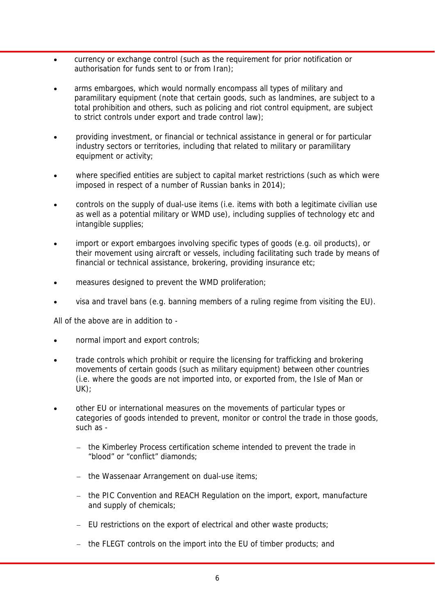- currency or exchange control (such as the requirement for prior notification or authorisation for funds sent to or from Iran);
- arms embargoes, which would normally encompass all types of military and paramilitary equipment (note that certain goods, such as landmines, are subject to a total prohibition and others, such as policing and riot control equipment, are subject to strict controls under export and trade control law);
- providing investment, or financial or technical assistance in general or for particular industry sectors or territories, including that related to military or paramilitary equipment or activity;
- where specified entities are subject to capital market restrictions (such as which were imposed in respect of a number of Russian banks in 2014);
- controls on the supply of dual-use items (i.e. items with both a legitimate civilian use as well as a potential military or WMD use), including supplies of technology etc and intangible supplies;
- import or export embargoes involving specific types of goods (e.g. oil products), or their movement using aircraft or vessels, including facilitating such trade by means of financial or technical assistance, brokering, providing insurance etc;
- measures designed to prevent the WMD proliferation;
- visa and travel bans (e.g. banning members of a ruling regime from visiting the EU).

All of the above are in addition to -

- normal import and export controls;
- trade controls which prohibit or require the licensing for trafficking and brokering movements of certain goods (such as military equipment) between other countries (i.e. where the goods are not imported into, or exported from, the Isle of Man or UK);
- other EU or international measures on the movements of particular types or categories of goods intended to prevent, monitor or control the trade in those goods, such as -
	- the Kimberley Process certification scheme intended to prevent the trade in "blood" or "conflict" diamonds;
	- the Wassenaar Arrangement on dual-use items;
	- the PIC Convention and REACH Regulation on the import, export, manufacture and supply of chemicals;
	- EU restrictions on the export of electrical and other waste products;
	- the FLEGT controls on the import into the EU of timber products; and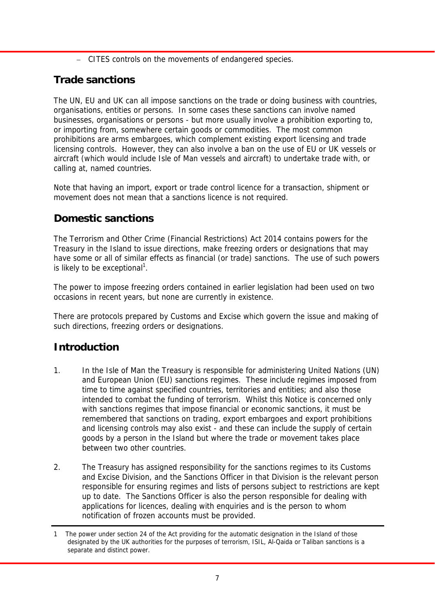- CITES controls on the movements of endangered species.

# **Trade sanctions**

The UN, EU and UK can all impose sanctions on the trade or doing business with countries, organisations, entities or persons. In some cases these sanctions can involve named businesses, organisations or persons - but more usually involve a prohibition exporting to, or importing from, somewhere certain goods or commodities. The most common prohibitions are arms embargoes, which complement existing export licensing and trade licensing controls. However, they can also involve a ban on the use of EU or UK vessels or aircraft (which would include Isle of Man vessels and aircraft) to undertake trade with, or calling at, named countries.

Note that having an import, export or trade control licence for a transaction, shipment or movement does not mean that a sanctions licence is not required.

# **Domestic sanctions**

The Terrorism and Other Crime (Financial Restrictions) Act 2014 contains powers for the Treasury in the Island to issue directions, make freezing orders or designations that may have some or all of similar effects as financial (or trade) sanctions. The use of such powers is likely to be exceptional<sup>1</sup>.

The power to impose freezing orders contained in earlier legislation had been used on two occasions in recent years, but none are currently in existence.

There are protocols prepared by Customs and Excise which govern the issue and making of such directions, freezing orders or designations.

# **Introduction**

- 1. In the Isle of Man the Treasury is responsible for administering United Nations (UN) and European Union (EU) sanctions regimes. These include regimes imposed from time to time against specified countries, territories and entities; and also those intended to combat the funding of terrorism. Whilst this Notice is concerned only with sanctions regimes that impose financial or economic sanctions, it must be remembered that sanctions on trading, export embargoes and export prohibitions and licensing controls may also exist - and these can include the supply of certain goods by a person in the Island but where the trade or movement takes place between two other countries.
- 2. The Treasury has assigned responsibility for the sanctions regimes to its Customs and Excise Division, and the Sanctions Officer in that Division is the relevant person responsible for ensuring regimes and lists of persons subject to restrictions are kept up to date. The Sanctions Officer is also the person responsible for dealing with applications for licences, dealing with enquiries and is the person to whom notification of frozen accounts must be provided.

<sup>1</sup> The power under section 24 of the Act providing for the automatic designation in the Island of those designated by the UK authorities for the purposes of terrorism, ISIL, Al-Qaida or Taliban sanctions is a separate and distinct power.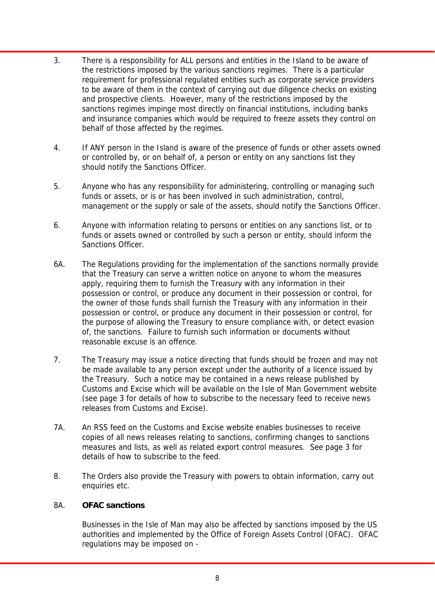- 3. There is a responsibility for ALL persons and entities in the Island to be aware of the restrictions imposed by the various sanctions regimes. There is a particular requirement for professional regulated entities such as corporate service providers to be aware of them in the context of carrying out due diligence checks on existing and prospective clients. However, many of the restrictions imposed by the sanctions regimes impinge most directly on financial institutions, including banks and insurance companies which would be required to freeze assets they control on behalf of those affected by the regimes.
- 4. If ANY person in the Island is aware of the presence of funds or other assets owned or controlled by, or on behalf of, a person or entity on any sanctions list they should notify the Sanctions Officer.
- 5. Anyone who has any responsibility for administering, controlling or managing such funds or assets, or is or has been involved in such administration, control, management or the supply or sale of the assets, should notify the Sanctions Officer.
- 6. Anyone with information relating to persons or entities on any sanctions list, or to funds or assets owned or controlled by such a person or entity, should inform the Sanctions Officer.
- 6A. The Regulations providing for the implementation of the sanctions normally provide that the Treasury can serve a written notice on anyone to whom the measures apply, requiring them to furnish the Treasury with any information in their possession or control, or produce any document in their possession or control, for the owner of those funds shall furnish the Treasury with any information in their possession or control, or produce any document in their possession or control, for the purpose of allowing the Treasury to ensure compliance with, or detect evasion of, the sanctions. Failure to furnish such information or documents without reasonable excuse is an offence.
- 7. The Treasury may issue a notice directing that funds should be frozen and may not be made available to any person except under the authority of a licence issued by the Treasury. Such a notice may be contained in a news release published by Customs and Excise which will be available on the Isle of Man Government website (see page 3 for details of how to subscribe to the necessary feed to receive news releases from Customs and Excise).
- 7A. An RSS feed on the Customs and Excise website enables businesses to receive copies of all news releases relating to sanctions, confirming changes to sanctions measures and lists, as well as related export control measures. See page 3 for details of how to subscribe to the feed.
- 8. The Orders also provide the Treasury with powers to obtain information, carry out enquiries etc.

## 8A. **OFAC sanctions**

 Businesses in the Isle of Man may also be affected by sanctions imposed by the US authorities and implemented by the Office of Foreign Assets Control (OFAC). OFAC regulations may be imposed on -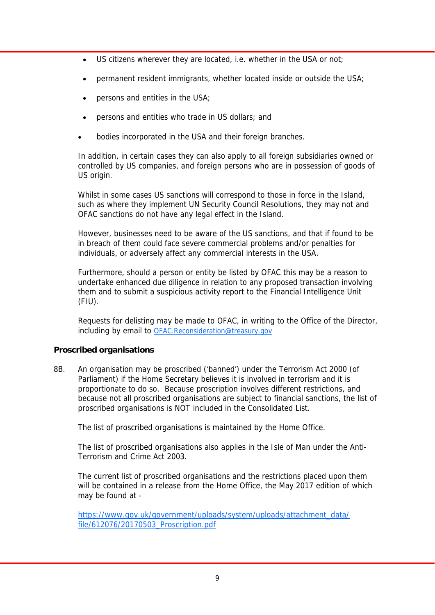- $\bullet$  US citizens wherever they are located, i.e. whether in the USA or not;
- permanent resident immigrants, whether located inside or outside the USA;
- persons and entities in the USA;
- persons and entities who trade in US dollars; and
- bodies incorporated in the USA and their foreign branches.

 In addition, in certain cases they can also apply to all foreign subsidiaries owned or controlled by US companies, and foreign persons who are in possession of goods of US origin.

 Whilst in some cases US sanctions will correspond to those in force in the Island, such as where they implement UN Security Council Resolutions, they may not and OFAC sanctions do not have any legal effect in the Island.

 However, businesses need to be aware of the US sanctions, and that if found to be in breach of them could face severe commercial problems and/or penalties for individuals, or adversely affect any commercial interests in the USA.

 Furthermore, should a person or entity be listed by OFAC this may be a reason to undertake enhanced due diligence in relation to any proposed transaction involving them and to submit a suspicious activity report to the Financial Intelligence Unit  $(FIU)$ .

 Requests for delisting may be made to OFAC, in writing to the Office of the Director, including by email to OFAC.Reconsideration@treasury.gov

## **Proscribed organisations**

8B. An organisation may be proscribed ('banned') under the Terrorism Act 2000 (of Parliament) if the Home Secretary believes it is involved in terrorism and it is proportionate to do so. Because proscription involves different restrictions, and because not all proscribed organisations are subject to financial sanctions, the list of proscribed organisations is NOT included in the Consolidated List.

The list of proscribed organisations is maintained by the Home Office.

 The list of proscribed organisations also applies in the Isle of Man under the Anti-Terrorism and Crime Act 2003.

 The current list of proscribed organisations and the restrictions placed upon them will be contained in a release from the Home Office, the May 2017 edition of which may be found at -

https://www.gov.uk/government/uploads/system/uploads/attachment\_data/ file/612076/20170503 Proscription.pdf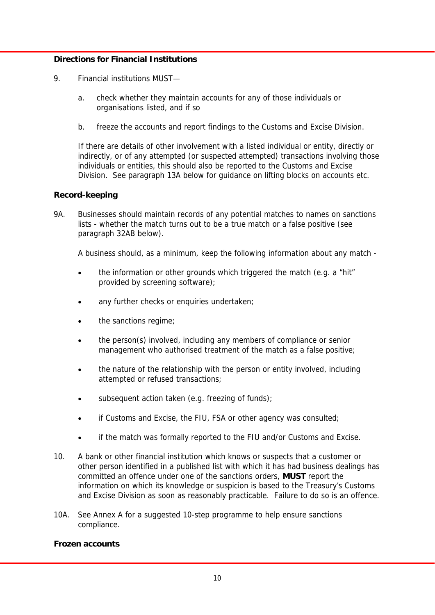## **Directions for Financial Institutions**

- 9. Financial institutions MUST
	- a. check whether they maintain accounts for any of those individuals or organisations listed, and if so
	- b. freeze the accounts and report findings to the Customs and Excise Division.

 If there are details of other involvement with a listed individual or entity, directly or indirectly, or of any attempted (or suspected attempted) transactions involving those individuals or entities, this should also be reported to the Customs and Excise Division. See paragraph 13A below for guidance on lifting blocks on accounts etc.

## **Record-keeping**

9A. Businesses should maintain records of any potential matches to names on sanctions lists - whether the match turns out to be a true match or a false positive (see paragraph 32AB below).

A business should, as a minimum, keep the following information about any match -

- the information or other grounds which triggered the match (e.g. a "hit" provided by screening software);
- any further checks or enquiries undertaken;
- the sanctions regime;
- the person(s) involved, including any members of compliance or senior management who authorised treatment of the match as a false positive;
- the nature of the relationship with the person or entity involved, including attempted or refused transactions;
- subsequent action taken (e.g. freezing of funds);
- if Customs and Excise, the FIU, FSA or other agency was consulted;
- if the match was formally reported to the FIU and/or Customs and Excise.
- 10. A bank or other financial institution which knows or suspects that a customer or other person identified in a published list with which it has had business dealings has committed an offence under one of the sanctions orders, **MUST** report the information on which its knowledge or suspicion is based to the Treasury's Customs and Excise Division as soon as reasonably practicable. Failure to do so is an offence.
- 10A. See Annex A for a suggested 10-step programme to help ensure sanctions compliance.

## **Frozen accounts**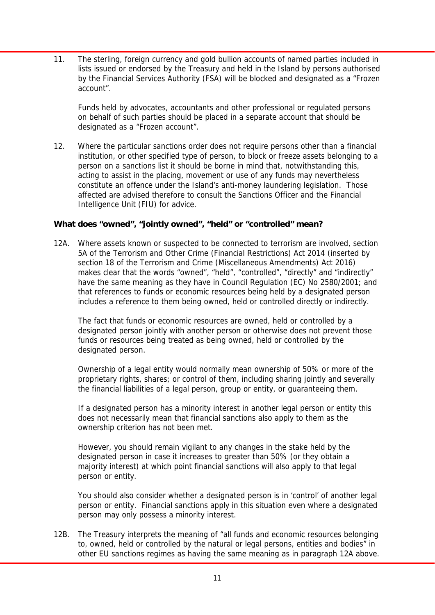11. The sterling, foreign currency and gold bullion accounts of named parties included in lists issued or endorsed by the Treasury and held in the Island by persons authorised by the Financial Services Authority (FSA) will be blocked and designated as a "Frozen account".

 Funds held by advocates, accountants and other professional or regulated persons on behalf of such parties should be placed in a separate account that should be designated as a "Frozen account".

12. Where the particular sanctions order does not require persons other than a financial institution, or other specified type of person, to block or freeze assets belonging to a person on a sanctions list it should be borne in mind that, notwithstanding this, acting to assist in the placing, movement or use of any funds may nevertheless constitute an offence under the Island's anti-money laundering legislation. Those affected are advised therefore to consult the Sanctions Officer and the Financial Intelligence Unit (FIU) for advice.

## **What does "owned", "jointly owned", "held" or "controlled" mean?**

12A. Where assets known or suspected to be connected to terrorism are involved, section 5A of the Terrorism and Other Crime (Financial Restrictions) Act 2014 (inserted by section 18 of the Terrorism and Crime (Miscellaneous Amendments) Act 2016) makes clear that the words "owned", "held", "controlled", "directly" and "indirectly" have the same meaning as they have in Council Regulation (EC) No 2580/2001; and that references to funds or economic resources being held by a designated person includes a reference to them being owned, held or controlled directly or indirectly.

 The fact that funds or economic resources are owned, held or controlled by a designated person jointly with another person or otherwise does not prevent those funds or resources being treated as being owned, held or controlled by the designated person.

 Ownership of a legal entity would normally mean ownership of 50% or more of the proprietary rights, shares; or control of them, including sharing jointly and severally the financial liabilities of a legal person, group or entity, or guaranteeing them.

 If a designated person has a minority interest in another legal person or entity this does not necessarily mean that financial sanctions also apply to them as the ownership criterion has not been met.

 However, you should remain vigilant to any changes in the stake held by the designated person in case it increases to greater than 50% (or they obtain a majority interest) at which point financial sanctions will also apply to that legal person or entity.

 You should also consider whether a designated person is in 'control' of another legal person or entity. Financial sanctions apply in this situation even where a designated person may only possess a minority interest.

12B. The Treasury interprets the meaning of "all funds and economic resources belonging to, owned, held or controlled by the natural or legal persons, entities and bodies" in other EU sanctions regimes as having the same meaning as in paragraph 12A above.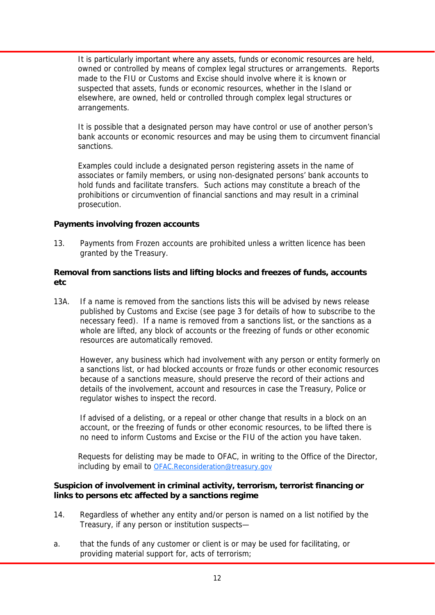It is particularly important where any assets, funds or economic resources are held, owned or controlled by means of complex legal structures or arrangements. Reports made to the FIU or Customs and Excise should involve where it is known or suspected that assets, funds or economic resources, whether in the Island or elsewhere, are owned, held or controlled through complex legal structures or arrangements.

 It is possible that a designated person may have control or use of another person's bank accounts or economic resources and may be using them to circumvent financial sanctions.

 Examples could include a designated person registering assets in the name of associates or family members, or using non-designated persons' bank accounts to hold funds and facilitate transfers. Such actions may constitute a breach of the prohibitions or circumvention of financial sanctions and may result in a criminal prosecution.

## **Payments involving frozen accounts**

13. Payments from Frozen accounts are prohibited unless a written licence has been granted by the Treasury.

## **Removal from sanctions lists and lifting blocks and freezes of funds, accounts etc**

13A. If a name is removed from the sanctions lists this will be advised by news release published by Customs and Excise (see page 3 for details of how to subscribe to the necessary feed). If a name is removed from a sanctions list, or the sanctions as a whole are lifted, any block of accounts or the freezing of funds or other economic resources are automatically removed.

 However, any business which had involvement with any person or entity formerly on a sanctions list, or had blocked accounts or froze funds or other economic resources because of a sanctions measure, should preserve the record of their actions and details of the involvement, account and resources in case the Treasury, Police or regulator wishes to inspect the record.

 If advised of a delisting, or a repeal or other change that results in a block on an account, or the freezing of funds or other economic resources, to be lifted there is no need to inform Customs and Excise or the FIU of the action you have taken.

 Requests for delisting may be made to OFAC, in writing to the Office of the Director, including by email to OFAC.Reconsideration@treasury.gov

## **Suspicion of involvement in criminal activity, terrorism, terrorist financing or links to persons etc affected by a sanctions regime**

- 14. Regardless of whether any entity and/or person is named on a list notified by the Treasury, if any person or institution suspects—
- a. that the funds of any customer or client is or may be used for facilitating, or providing material support for, acts of terrorism;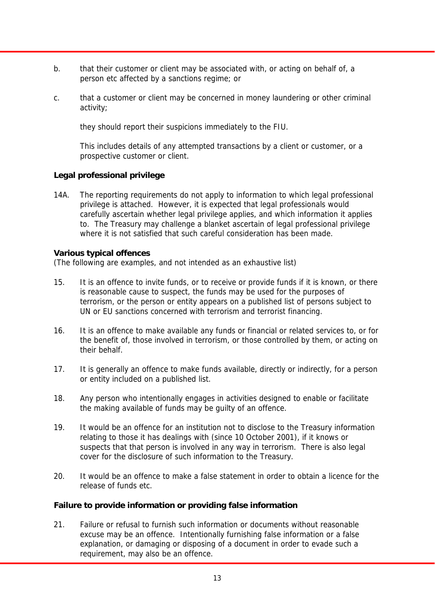- b. that their customer or client may be associated with, or acting on behalf of, a person etc affected by a sanctions regime; or
- c. that a customer or client may be concerned in money laundering or other criminal activity;

they should report their suspicions immediately to the FIU.

 This includes details of any attempted transactions by a client or customer, or a prospective customer or client.

## **Legal professional privilege**

14A. The reporting requirements do not apply to information to which legal professional privilege is attached. However, it is expected that legal professionals would carefully ascertain whether legal privilege applies, and which information it applies to. The Treasury may challenge a blanket ascertain of legal professional privilege where it is not satisfied that such careful consideration has been made.

## **Various typical offences**

(The following are examples, and not intended as an exhaustive list)

- 15. It is an offence to invite funds, or to receive or provide funds if it is known, or there is reasonable cause to suspect, the funds may be used for the purposes of terrorism, or the person or entity appears on a published list of persons subject to UN or EU sanctions concerned with terrorism and terrorist financing.
- 16. It is an offence to make available any funds or financial or related services to, or for the benefit of, those involved in terrorism, or those controlled by them, or acting on their behalf.
- 17. It is generally an offence to make funds available, directly or indirectly, for a person or entity included on a published list.
- 18. Any person who intentionally engages in activities designed to enable or facilitate the making available of funds may be guilty of an offence.
- 19. It would be an offence for an institution not to disclose to the Treasury information relating to those it has dealings with (since 10 October 2001), if it knows or suspects that that person is involved in any way in terrorism. There is also legal cover for the disclosure of such information to the Treasury.
- 20. It would be an offence to make a false statement in order to obtain a licence for the release of funds etc.

## **Failure to provide information or providing false information**

21. Failure or refusal to furnish such information or documents without reasonable excuse may be an offence. Intentionally furnishing false information or a false explanation, or damaging or disposing of a document in order to evade such a requirement, may also be an offence.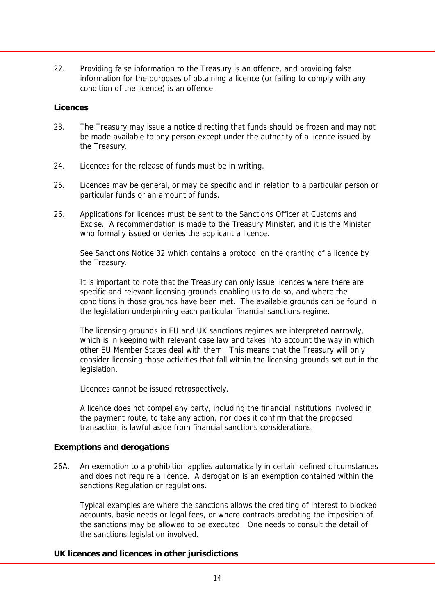22. Providing false information to the Treasury is an offence, and providing false information for the purposes of obtaining a licence (or failing to comply with any condition of the licence) is an offence.

## **Licences**

- 23. The Treasury may issue a notice directing that funds should be frozen and may not be made available to any person except under the authority of a licence issued by the Treasury.
- 24. Licences for the release of funds must be in writing.
- 25. Licences may be general, or may be specific and in relation to a particular person or particular funds or an amount of funds.
- 26. Applications for licences must be sent to the Sanctions Officer at Customs and Excise. A recommendation is made to the Treasury Minister, and it is the Minister who formally issued or denies the applicant a licence.

 See Sanctions Notice 32 which contains a protocol on the granting of a licence by the Treasury.

 It is important to note that the Treasury can only issue licences where there are specific and relevant licensing grounds enabling us to do so, and where the conditions in those grounds have been met. The available grounds can be found in the legislation underpinning each particular financial sanctions regime.

 The licensing grounds in EU and UK sanctions regimes are interpreted narrowly, which is in keeping with relevant case law and takes into account the way in which other EU Member States deal with them. This means that the Treasury will only consider licensing those activities that fall within the licensing grounds set out in the legislation.

Licences cannot be issued retrospectively.

 A licence does not compel any party, including the financial institutions involved in the payment route, to take any action, nor does it confirm that the proposed transaction is lawful aside from financial sanctions considerations.

## **Exemptions and derogations**

26A. An exemption to a prohibition applies automatically in certain defined circumstances and does not require a licence. A derogation is an exemption contained within the sanctions Regulation or regulations.

 Typical examples are where the sanctions allows the crediting of interest to blocked accounts, basic needs or legal fees, or where contracts predating the imposition of the sanctions may be allowed to be executed. One needs to consult the detail of the sanctions legislation involved.

## **UK licences and licences in other jurisdictions**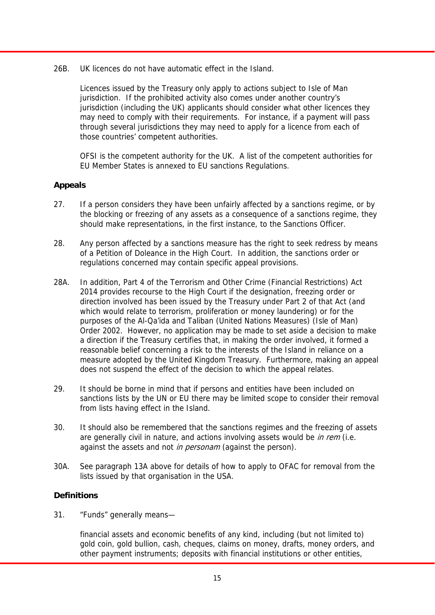26B. UK licences do not have automatic effect in the Island.

 Licences issued by the Treasury only apply to actions subject to Isle of Man jurisdiction. If the prohibited activity also comes under another country's jurisdiction (including the UK) applicants should consider what other licences they may need to comply with their requirements. For instance, if a payment will pass through several jurisdictions they may need to apply for a licence from each of those countries' competent authorities.

 OFSI is the competent authority for the UK. A list of the competent authorities for EU Member States is annexed to EU sanctions Regulations.

## **Appeals**

- 27. If a person considers they have been unfairly affected by a sanctions regime, or by the blocking or freezing of any assets as a consequence of a sanctions regime, they should make representations, in the first instance, to the Sanctions Officer.
- 28. Any person affected by a sanctions measure has the right to seek redress by means of a Petition of Doleance in the High Court. In addition, the sanctions order or regulations concerned may contain specific appeal provisions.
- 28A. In addition, Part 4 of the Terrorism and Other Crime (Financial Restrictions) Act 2014 provides recourse to the High Court if the designation, freezing order or direction involved has been issued by the Treasury under Part 2 of that Act (and which would relate to terrorism, proliferation or money laundering) or for the purposes of the Al-Qa'ida and Taliban (United Nations Measures) (Isle of Man) Order 2002. However, no application may be made to set aside a decision to make a direction if the Treasury certifies that, in making the order involved, it formed a reasonable belief concerning a risk to the interests of the Island in reliance on a measure adopted by the United Kingdom Treasury. Furthermore, making an appeal does not suspend the effect of the decision to which the appeal relates.
- 29. It should be borne in mind that if persons and entities have been included on sanctions lists by the UN or EU there may be limited scope to consider their removal from lists having effect in the Island.
- 30. It should also be remembered that the sanctions regimes and the freezing of assets are generally civil in nature, and actions involving assets would be in rem (i.e. against the assets and not *in personam* (against the person).
- 30A. See paragraph 13A above for details of how to apply to OFAC for removal from the lists issued by that organisation in the USA.

## **Definitions**

31. "Funds" generally means—

 financial assets and economic benefits of any kind, including (but not limited to) gold coin, gold bullion, cash, cheques, claims on money, drafts, money orders, and other payment instruments; deposits with financial institutions or other entities,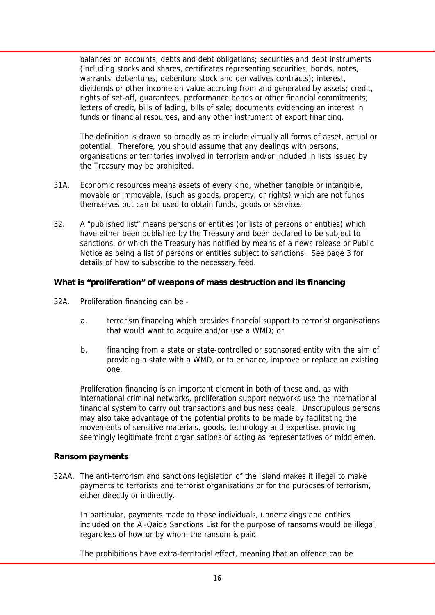balances on accounts, debts and debt obligations; securities and debt instruments (including stocks and shares, certificates representing securities, bonds, notes, warrants, debentures, debenture stock and derivatives contracts); interest, dividends or other income on value accruing from and generated by assets; credit, rights of set-off, guarantees, performance bonds or other financial commitments; letters of credit, bills of lading, bills of sale; documents evidencing an interest in funds or financial resources, and any other instrument of export financing.

 The definition is drawn so broadly as to include virtually all forms of asset, actual or potential. Therefore, you should assume that any dealings with persons, organisations or territories involved in terrorism and/or included in lists issued by the Treasury may be prohibited.

- 31A. Economic resources means assets of every kind, whether tangible or intangible, movable or immovable, (such as goods, property, or rights) which are not funds themselves but can be used to obtain funds, goods or services.
- 32. A "published list" means persons or entities (or lists of persons or entities) which have either been published by the Treasury and been declared to be subject to sanctions, or which the Treasury has notified by means of a news release or Public Notice as being a list of persons or entities subject to sanctions. See page 3 for details of how to subscribe to the necessary feed.

## **What is "proliferation" of weapons of mass destruction and its financing**

- 32A. Proliferation financing can be
	- a. terrorism financing which provides financial support to terrorist organisations that would want to acquire and/or use a WMD; or
	- b. financing from a state or state-controlled or sponsored entity with the aim of providing a state with a WMD, or to enhance, improve or replace an existing one.

 Proliferation financing is an important element in both of these and, as with international criminal networks, proliferation support networks use the international financial system to carry out transactions and business deals. Unscrupulous persons may also take advantage of the potential profits to be made by facilitating the movements of sensitive materials, goods, technology and expertise, providing seemingly legitimate front organisations or acting as representatives or middlemen.

## **Ransom payments**

32AA. The anti-terrorism and sanctions legislation of the Island makes it illegal to make payments to terrorists and terrorist organisations or for the purposes of terrorism, either directly or indirectly.

 In particular, payments made to those individuals, undertakings and entities included on the Al-Qaida Sanctions List for the purpose of ransoms would be illegal, regardless of how or by whom the ransom is paid.

The prohibitions have extra-territorial effect, meaning that an offence can be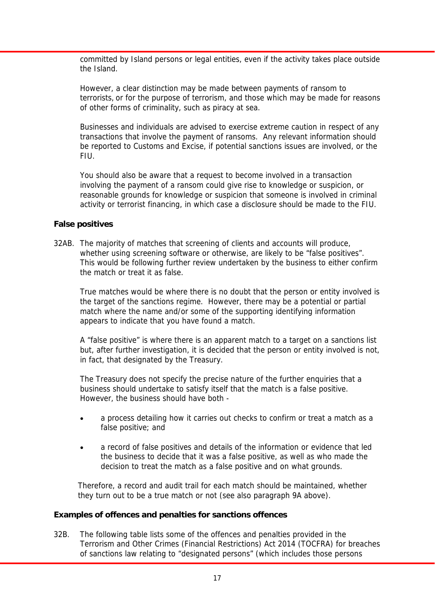committed by Island persons or legal entities, even if the activity takes place outside the Island.

 However, a clear distinction may be made between payments of ransom to terrorists, or for the purpose of terrorism, and those which may be made for reasons of other forms of criminality, such as piracy at sea.

 Businesses and individuals are advised to exercise extreme caution in respect of any transactions that involve the payment of ransoms. Any relevant information should be reported to Customs and Excise, if potential sanctions issues are involved, or the FIU.

 You should also be aware that a request to become involved in a transaction involving the payment of a ransom could give rise to knowledge or suspicion, or reasonable grounds for knowledge or suspicion that someone is involved in criminal activity or terrorist financing, in which case a disclosure should be made to the FIU.

## **False positives**

32AB. The majority of matches that screening of clients and accounts will produce, whether using screening software or otherwise, are likely to be "false positives". This would be following further review undertaken by the business to either confirm the match or treat it as false.

 True matches would be where there is no doubt that the person or entity involved is the target of the sanctions regime. However, there may be a potential or partial match where the name and/or some of the supporting identifying information appears to indicate that you have found a match.

 A "false positive" is where there is an apparent match to a target on a sanctions list but, after further investigation, it is decided that the person or entity involved is not, in fact, that designated by the Treasury.

 The Treasury does not specify the precise nature of the further enquiries that a business should undertake to satisfy itself that the match is a false positive. However, the business should have both -

- a process detailing how it carries out checks to confirm or treat a match as a false positive; and
- a record of false positives and details of the information or evidence that led the business to decide that it was a false positive, as well as who made the decision to treat the match as a false positive and on what grounds.

 Therefore, a record and audit trail for each match should be maintained, whether they turn out to be a true match or not (see also paragraph 9A above).

#### **Examples of offences and penalties for sanctions offences**

32B. The following table lists some of the offences and penalties provided in the Terrorism and Other Crimes (Financial Restrictions) Act 2014 (TOCFRA) for breaches of sanctions law relating to "designated persons" (which includes those persons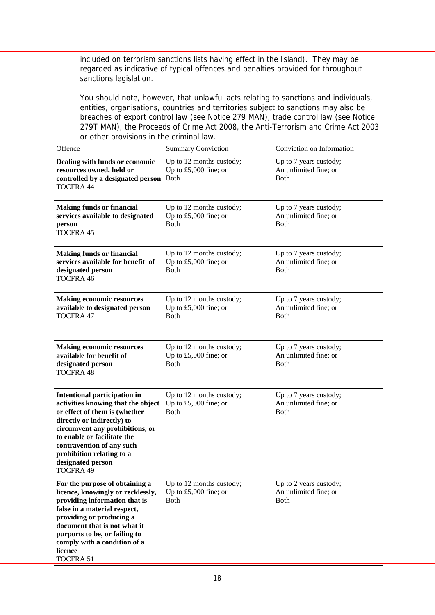included on terrorism sanctions lists having effect in the Island). They may be regarded as indicative of typical offences and penalties provided for throughout sanctions legislation.

 You should note, however, that unlawful acts relating to sanctions and individuals, entities, organisations, countries and territories subject to sanctions may also be breaches of export control law (see Notice 279 MAN), trade control law (see Notice 279T MAN), the Proceeds of Crime Act 2008, the Anti-Terrorism and Crime Act 2003 or other provisions in the criminal law.

| Offence                                                                                                                                                                                                                                                                                                | <b>Summary Conviction</b>                                           | Conviction on Information                                       |
|--------------------------------------------------------------------------------------------------------------------------------------------------------------------------------------------------------------------------------------------------------------------------------------------------------|---------------------------------------------------------------------|-----------------------------------------------------------------|
| Dealing with funds or economic<br>resources owned, held or<br>controlled by a designated person<br><b>TOCFRA 44</b>                                                                                                                                                                                    | Up to 12 months custody;<br>Up to £5,000 fine; or<br><b>Both</b>    | Up to 7 years custody;<br>An unlimited fine; or<br><b>B</b> oth |
| <b>Making funds or financial</b><br>services available to designated<br>person<br><b>TOCFRA 45</b>                                                                                                                                                                                                     | Up to 12 months custody;<br>Up to $£5,000$ fine; or<br><b>Both</b>  | Up to 7 years custody;<br>An unlimited fine; or<br><b>Both</b>  |
| <b>Making funds or financial</b><br>services available for benefit of<br>designated person<br><b>TOCFRA 46</b>                                                                                                                                                                                         | Up to 12 months custody;<br>Up to £5,000 fine; or<br>Both           | Up to 7 years custody;<br>An unlimited fine; or<br><b>B</b> oth |
| <b>Making economic resources</b><br>available to designated person<br><b>TOCFRA 47</b>                                                                                                                                                                                                                 | Up to 12 months custody;<br>Up to $£5,000$ fine; or<br><b>B</b> oth | Up to 7 years custody;<br>An unlimited fine; or<br><b>Both</b>  |
| <b>Making economic resources</b><br>available for benefit of<br>designated person<br><b>TOCFRA 48</b>                                                                                                                                                                                                  | Up to 12 months custody;<br>Up to $£5,000$ fine; or<br><b>Both</b>  | Up to 7 years custody;<br>An unlimited fine; or<br><b>B</b> oth |
| <b>Intentional participation in</b><br>activities knowing that the object<br>or effect of them is (whether<br>directly or indirectly) to<br>circumvent any prohibitions, or<br>to enable or facilitate the<br>contravention of any such<br>prohibition relating to a<br>designated person<br>TOCFRA 49 | Up to 12 months custody;<br>Up to $£5,000$ fine; or<br><b>Both</b>  | Up to 7 years custody;<br>An unlimited fine; or<br><b>B</b> oth |
| For the purpose of obtaining a<br>licence, knowingly or recklessly,<br>providing information that is<br>false in a material respect,<br>providing or producing a<br>document that is not what it<br>purports to be, or failing to<br>comply with a condition of a<br>licence<br>TOCFRA 51              | Up to 12 months custody;<br>Up to $£5,000$ fine; or<br><b>Both</b>  | Up to 2 years custody;<br>An unlimited fine; or<br><b>B</b> oth |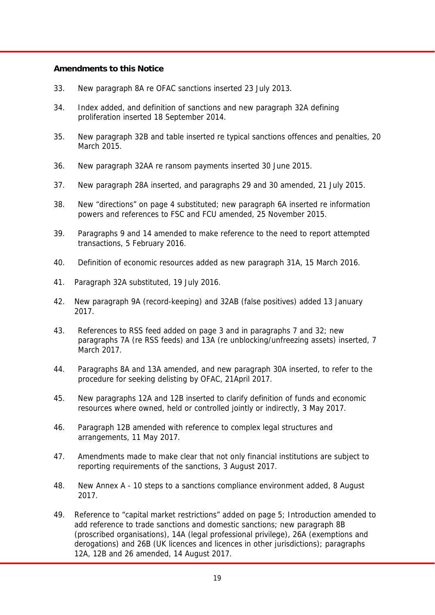### **Amendments to this Notice**

- 33. New paragraph 8A re OFAC sanctions inserted 23 July 2013.
- 34. Index added, and definition of sanctions and new paragraph 32A defining proliferation inserted 18 September 2014.
- 35. New paragraph 32B and table inserted re typical sanctions offences and penalties, 20 March 2015.
- 36. New paragraph 32AA re ransom payments inserted 30 June 2015.
- 37. New paragraph 28A inserted, and paragraphs 29 and 30 amended, 21 July 2015.
- 38. New "directions" on page 4 substituted; new paragraph 6A inserted re information powers and references to FSC and FCU amended, 25 November 2015.
- 39. Paragraphs 9 and 14 amended to make reference to the need to report attempted transactions, 5 February 2016.
- 40. Definition of economic resources added as new paragraph 31A, 15 March 2016.
- 41. Paragraph 32A substituted, 19 July 2016.
- 42. New paragraph 9A (record-keeping) and 32AB (false positives) added 13 January 2017.
- 43. References to RSS feed added on page 3 and in paragraphs 7 and 32; new paragraphs 7A (re RSS feeds) and 13A (re unblocking/unfreezing assets) inserted, 7 March 2017.
- 44. Paragraphs 8A and 13A amended, and new paragraph 30A inserted, to refer to the procedure for seeking delisting by OFAC, 21April 2017.
- 45. New paragraphs 12A and 12B inserted to clarify definition of funds and economic resources where owned, held or controlled jointly or indirectly, 3 May 2017.
- 46. Paragraph 12B amended with reference to complex legal structures and arrangements, 11 May 2017.
- 47. Amendments made to make clear that not only financial institutions are subject to reporting requirements of the sanctions, 3 August 2017.
- 48. New Annex A 10 steps to a sanctions compliance environment added, 8 August 2017.
- 49. Reference to "capital market restrictions" added on page 5; Introduction amended to add reference to trade sanctions and domestic sanctions; new paragraph 8B (proscribed organisations), 14A (legal professional privilege), 26A (exemptions and derogations) and 26B (UK licences and licences in other jurisdictions); paragraphs 12A, 12B and 26 amended, 14 August 2017.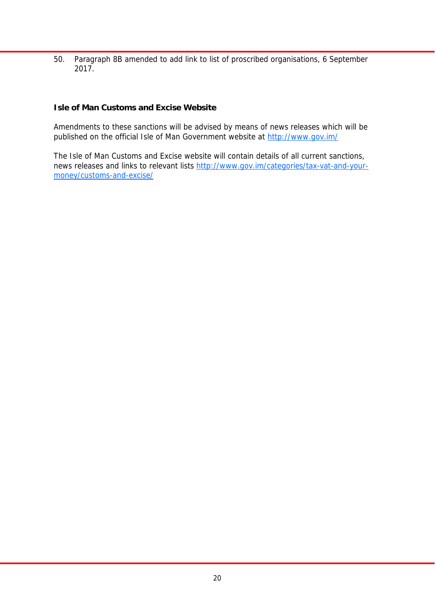50. Paragraph 8B amended to add link to list of proscribed organisations, 6 September 2017.

## **Isle of Man Customs and Excise Website**

Amendments to these sanctions will be advised by means of news releases which will be published on the official Isle of Man Government website at http://www.gov.im/

The Isle of Man Customs and Excise website will contain details of all current sanctions, news releases and links to relevant lists http://www.gov.im/categories/tax-vat-and-yourmoney/customs-and-excise/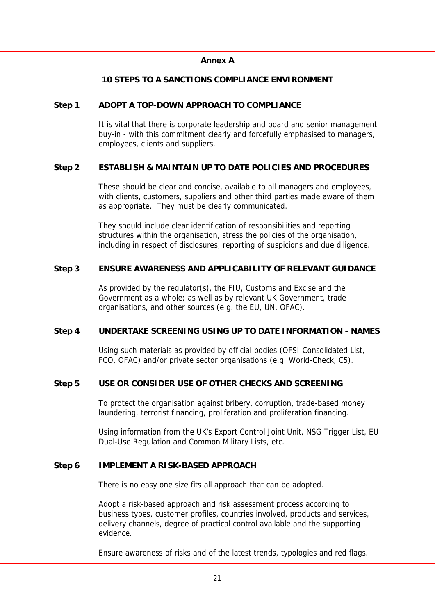## **Annex A**

## **10 STEPS TO A SANCTIONS COMPLIANCE ENVIRONMENT**

#### **Step 1 ADOPT A TOP-DOWN APPROACH TO COMPLIANCE**

It is vital that there is corporate leadership and board and senior management buy-in - with this commitment clearly and forcefully emphasised to managers, employees, clients and suppliers.

## **Step 2 ESTABLISH & MAINTAIN UP TO DATE POLICIES AND PROCEDURES**

These should be clear and concise, available to all managers and employees, with clients, customers, suppliers and other third parties made aware of them as appropriate. They must be clearly communicated.

They should include clear identification of responsibilities and reporting structures within the organisation, stress the policies of the organisation, including in respect of disclosures, reporting of suspicions and due diligence.

## **Step 3 ENSURE AWARENESS AND APPLICABILITY OF RELEVANT GUIDANCE**

As provided by the regulator(s), the FIU, Customs and Excise and the Government as a whole; as well as by relevant UK Government, trade organisations, and other sources (e.g. the EU, UN, OFAC).

## **Step 4 UNDERTAKE SCREENING USING UP TO DATE INFORMATION - NAMES**

Using such materials as provided by official bodies (OFSI Consolidated List, FCO, OFAC) and/or private sector organisations (e.g. World-Check, C5).

## **Step 5 USE OR CONSIDER USE OF OTHER CHECKS AND SCREENING**

To protect the organisation against bribery, corruption, trade-based money laundering, terrorist financing, proliferation and proliferation financing.

Using information from the UK's Export Control Joint Unit, NSG Trigger List, EU Dual-Use Regulation and Common Military Lists, etc.

#### **Step 6 IMPLEMENT A RISK-BASED APPROACH**

There is no easy one size fits all approach that can be adopted.

Adopt a risk-based approach and risk assessment process according to business types, customer profiles, countries involved, products and services, delivery channels, degree of practical control available and the supporting evidence.

Ensure awareness of risks and of the latest trends, typologies and red flags.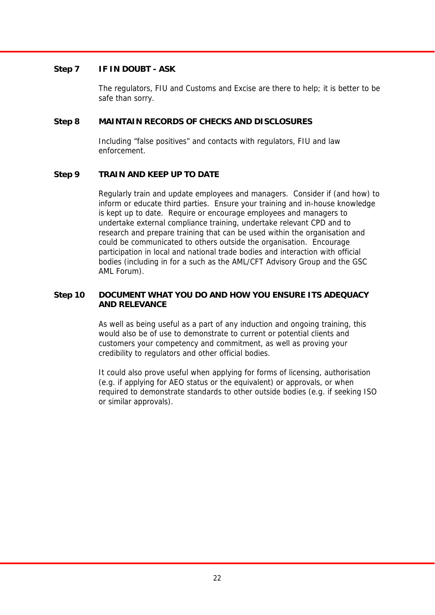## **Step 7 IF IN DOUBT - ASK**

The regulators, FIU and Customs and Excise are there to help; it is better to be safe than sorry.

#### **Step 8 MAINTAIN RECORDS OF CHECKS AND DISCLOSURES**

Including "false positives" and contacts with regulators, FIU and law enforcement.

## **Step 9 TRAIN AND KEEP UP TO DATE**

Regularly train and update employees and managers. Consider if (and how) to inform or educate third parties. Ensure your training and in-house knowledge is kept up to date. Require or encourage employees and managers to undertake external compliance training, undertake relevant CPD and to research and prepare training that can be used within the organisation and could be communicated to others outside the organisation. Encourage participation in local and national trade bodies and interaction with official bodies (including in for a such as the AML/CFT Advisory Group and the GSC AML Forum).

## **Step 10 DOCUMENT WHAT YOU DO AND HOW YOU ENSURE ITS ADEQUACY AND RELEVANCE**

As well as being useful as a part of any induction and ongoing training, this would also be of use to demonstrate to current or potential clients and customers your competency and commitment, as well as proving your credibility to regulators and other official bodies.

It could also prove useful when applying for forms of licensing, authorisation (e.g. if applying for AEO status or the equivalent) or approvals, or when required to demonstrate standards to other outside bodies (e.g. if seeking ISO or similar approvals).